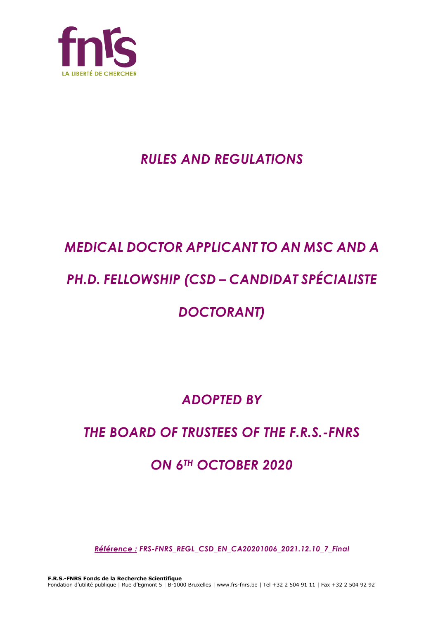

# *RULES AND REGULATIONS*

# *MEDICAL DOCTOR APPLICANT TO AN MSC AND A*

# *PH.D. FELLOWSHIP (CSD – CANDIDAT SPÉCIALISTE*

# *DOCTORANT)*

# *ADOPTED BY*

# *THE BOARD OF TRUSTEES OF THE F.R.S.-FNRS*

# *ON 6TH OCTOBER 2020*

*Référence : FRS-FNRS\_REGL\_CSD\_EN\_CA20201006\_2021.12.10\_7\_Final*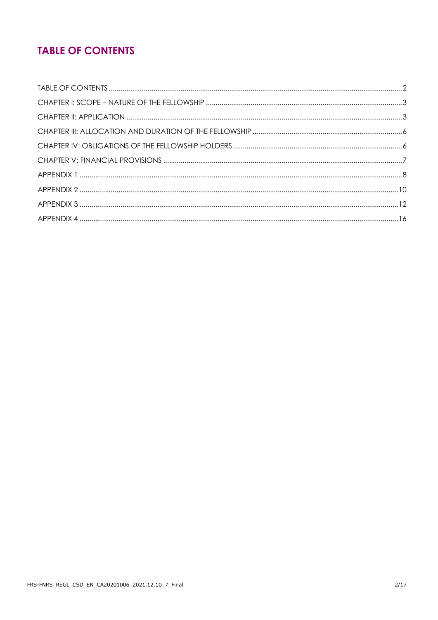# **TABLE OF CONTENTS**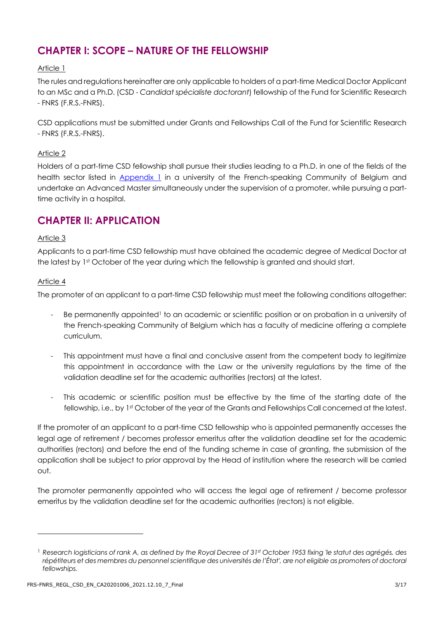# **CHAPTER I: SCOPE – NATURE OF THE FELLOWSHIP**

# Article 1

The rules and regulations hereinafter are only applicable to holders of a part-time Medical Doctor Applicant to an MSc and a Ph.D. (CSD - *Candidat spécialiste doctorant*) fellowship of the Fund for Scientific Research - FNRS (F.R.S.-FNRS).

CSD applications must be submitted under Grants and Fellowships Call of the Fund for Scientific Research - FNRS (F.R.S.-FNRS).

# Article 2

Holders of a part-time CSD fellowship shall pursue their studies leading to a Ph.D. in one of the fields of the health sector listed in [Appendix 1](#page-7-0) in a university of the French-speaking Community of Belgium and undertake an Advanced Master simultaneously under the supervision of a promoter, while pursuing a parttime activity in a hospital.

# **CHAPTER II: APPLICATION**

# Article 3

Applicants to a part-time CSD fellowship must have obtained the academic degree of Medical Doctor at the latest by 1<sup>st</sup> October of the year during which the fellowship is granted and should start.

# Article 4

The promoter of an applicant to a part-time CSD fellowship must meet the following conditions altogether:

- Be permanently appointed<sup>1</sup> to an academic or scientific position or on probation in a university of the French-speaking Community of Belgium which has a faculty of medicine offering a complete curriculum.
- This appointment must have a final and conclusive assent from the competent body to legitimize this appointment in accordance with the Law or the university regulations by the time of the validation deadline set for the academic authorities (rectors) at the latest.
- This academic or scientific position must be effective by the time of the starting date of the fellowship, i.e., by 1st October of the year of the Grants and Fellowships Call concerned at the latest.

If the promoter of an applicant to a part-time CSD fellowship who is appointed permanently accesses the legal age of retirement / becomes professor emeritus after the validation deadline set for the academic authorities (rectors) and before the end of the funding scheme in case of granting, the submission of the application shall be subject to prior approval by the Head of institution where the research will be carried out.

The promoter permanently appointed who will access the legal age of retirement / become professor emeritus by the validation deadline set for the academic authorities (rectors) is not eligible.

<sup>1</sup> *Research logisticians of rank A, as defined by the Royal Decree of 31st October 1953 fixing 'le statut des agrégés, des répétiteurs et des membres du personnel scientifique des universités de l'État', are not eligible as promoters of doctoral fellowships.*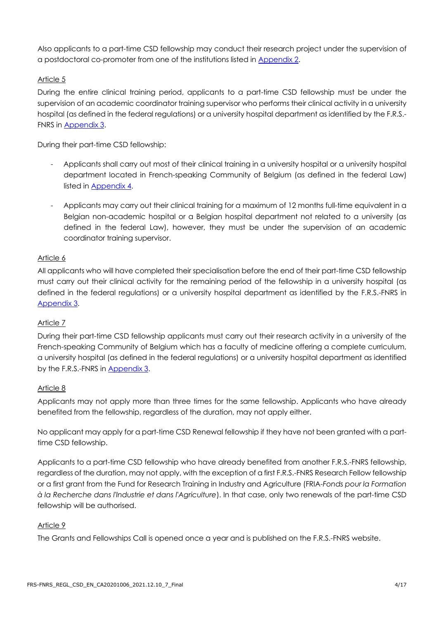Also applicants to a part-time CSD fellowship may conduct their research project under the supervision of a postdoctoral co-promoter from one of the institutions listed in [Appendix 2.](#page-9-0)

# Article 5

During the entire clinical training period, applicants to a part-time CSD fellowship must be under the supervision of an academic coordinator training supervisor who performs their clinical activity in a university hospital (as defined in the federal regulations) or a university hospital department as identified by the F.R.S.- FNRS in [Appendix 3.](#page-11-0)

During their part-time CSD fellowship:

- Applicants shall carry out most of their clinical training in a university hospital or a university hospital department located in French-speaking Community of Belgium (as defined in the federal Law) listed in [Appendix 4.](#page-15-0)
- Applicants may carry out their clinical training for a maximum of 12 months full-time equivalent in a Belgian non-academic hospital or a Belgian hospital department not related to a university (as defined in the federal Law), however, they must be under the supervision of an academic coordinator training supervisor.

# Article 6

All applicants who will have completed their specialisation before the end of their part-time CSD fellowship must carry out their clinical activity for the remaining period of the fellowship in a university hospital (as defined in the federal regulations) or a university hospital department as identified by the F.R.S.-FNRS in [Appendix 3.](#page-11-0)

# Article 7

During their part-time CSD fellowship applicants must carry out their research activity in a university of the French-speaking Community of Belgium which has a faculty of medicine offering a complete curriculum, a university hospital (as defined in the federal regulations) or a university hospital department as identified by the F.R.S.-FNRS in [Appendix 3.](#page-11-0)

# Article 8

Applicants may not apply more than three times for the same fellowship. Applicants who have already benefited from the fellowship, regardless of the duration, may not apply either.

No applicant may apply for a part-time CSD Renewal fellowship if they have not been granted with a parttime CSD fellowship.

Applicants to a part-time CSD fellowship who have already benefited from another F.R.S.-FNRS fellowship, regardless of the duration, may not apply, with the exception of a first F.R.S.-FNRS Research Fellow fellowship or a first grant from the Fund for Research Training in Industry and Agriculture (FRIA-*Fonds pour la Formation à la Recherche dans l'Industrie et dans l'Agriculture*). In that case, only two renewals of the part-time CSD fellowship will be authorised.

# Article 9

The Grants and Fellowships Call is opened once a year and is published on the F.R.S.-FNRS website.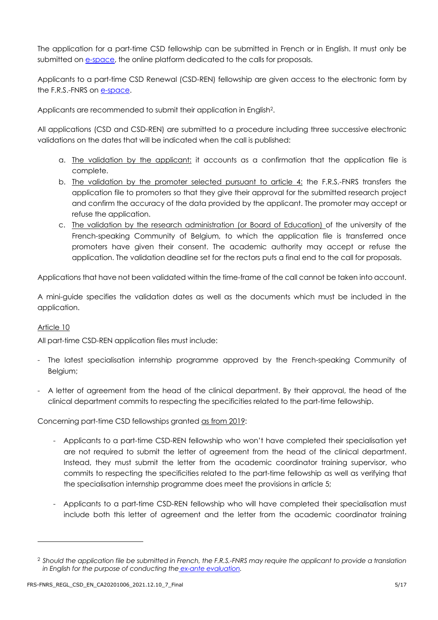The application for a part-time CSD fellowship can be submitted in French or in English. It must only be submitted on [e-space,](https://e-space.frs-fnrs.be/) the online platform dedicated to the calls for proposals.

Applicants to a part-time CSD Renewal (CSD-REN) fellowship are given access to the electronic form by the F.R.S.-FNRS on [e-space.](https://e-space.frs-fnrs.be/)

Applicants are recommended to submit their application in English<sup>2</sup>.

All applications (CSD and CSD-REN) are submitted to a procedure including three successive electronic validations on the dates that will be indicated when the call is published:

- a. The validation by the applicant: it accounts as a confirmation that the application file is complete.
- b. The validation by the promoter selected pursuant to article 4: the F.R.S.-FNRS transfers the application file to promoters so that they give their approval for the submitted research project and confirm the accuracy of the data provided by the applicant. The promoter may accept or refuse the application.
- c. The validation by the research administration (or Board of Education) of the university of the French-speaking Community of Belgium, to which the application file is transferred once promoters have given their consent. The academic authority may accept or refuse the application. The validation deadline set for the rectors puts a final end to the call for proposals.

Applications that have not been validated within the time-frame of the call cannot be taken into account.

A mini-guide specifies the validation dates as well as the documents which must be included in the application.

# Article 10

All part-time CSD-REN application files must include:

- The latest specialisation internship programme approved by the French-speaking Community of Belgium;
- A letter of agreement from the head of the clinical department. By their approval, the head of the clinical department commits to respecting the specificities related to the part-time fellowship.

Concerning part-time CSD fellowships granted as from 2019:

- Applicants to a part-time CSD-REN fellowship who won't have completed their specialisation yet are not required to submit the letter of agreement from the head of the clinical department. Instead, they must submit the letter from the academic coordinator training supervisor, who commits to respecting the specificities related to the part-time fellowship as well as verifying that the specialisation internship programme does meet the provisions in article 5;
- Applicants to a part-time CSD-REN fellowship who will have completed their specialisation must include both this letter of agreement and the letter from the academic coordinator training

<sup>2</sup> *Should the application file be submitted in French, the F.R.S.-FNRS may require the applicant to provide a translation in English for the purpose of conducting the [ex-ante evaluation.](https://www.frs-fnrs.be/docs/Reglement-et-documents/FRS-FNRS_Guide_Evaluation_EN.pdf)*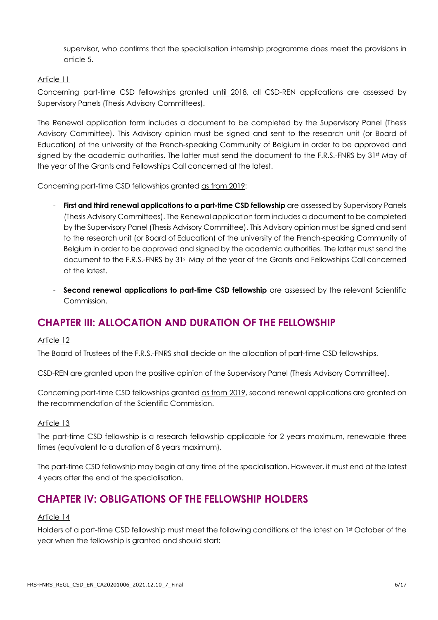supervisor, who confirms that the specialisation internship programme does meet the provisions in article 5.

# Article 11

Concerning part-time CSD fellowships granted until 2018, all CSD-REN applications are assessed by Supervisory Panels (Thesis Advisory Committees).

The Renewal application form includes a document to be completed by the Supervisory Panel (Thesis Advisory Committee). This Advisory opinion must be signed and sent to the research unit (or Board of Education) of the university of the French-speaking Community of Belgium in order to be approved and signed by the academic authorities. The latter must send the document to the F.R.S.-FNRS by 31st May of the year of the Grants and Fellowships Call concerned at the latest.

Concerning part-time CSD fellowships granted as from 2019:

- First and third renewal applications to a part-time CSD fellowship are assessed by Supervisory Panels (Thesis Advisory Committees). The Renewal application form includes a document to be completed by the Supervisory Panel (Thesis Advisory Committee). This Advisory opinion must be signed and sent to the research unit (or Board of Education) of the university of the French-speaking Community of Belgium in order to be approved and signed by the academic authorities. The latter must send the document to the F.R.S.-FNRS by 31st May of the year of the Grants and Fellowships Call concerned at the latest.
- **Second renewal applications to part-time CSD fellowship** are assessed by the relevant Scientific Commission.

# **CHAPTER III: ALLOCATION AND DURATION OF THE FELLOWSHIP**

#### Article 12

The Board of Trustees of the F.R.S.-FNRS shall decide on the allocation of part-time CSD fellowships.

CSD-REN are granted upon the positive opinion of the Supervisory Panel (Thesis Advisory Committee).

Concerning part-time CSD fellowships granted as from 2019, second renewal applications are granted on the recommendation of the Scientific Commission.

#### Article 13

The part-time CSD fellowship is a research fellowship applicable for 2 years maximum, renewable three times (equivalent to a duration of 8 years maximum).

The part-time CSD fellowship may begin at any time of the specialisation. However, it must end at the latest 4 years after the end of the specialisation.

# **CHAPTER IV: OBLIGATIONS OF THE FELLOWSHIP HOLDERS**

#### Article 14

Holders of a part-time CSD fellowship must meet the following conditions at the latest on 1st October of the year when the fellowship is granted and should start: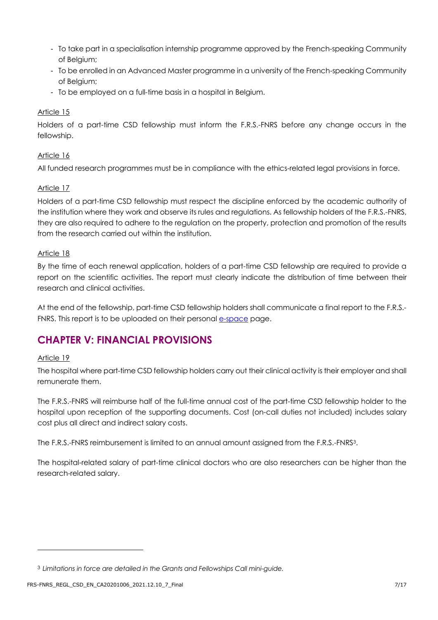- To take part in a specialisation internship programme approved by the French-speaking Community of Belgium;
- To be enrolled in an Advanced Master programme in a university of the French-speaking Community of Belgium;
- To be employed on a full-time basis in a hospital in Belgium.

# Article 15

Holders of a part-time CSD fellowship must inform the F.R.S.-FNRS before any change occurs in the fellowship.

# Article 16

All funded research programmes must be in compliance with the ethics-related legal provisions in force.

# Article 17

Holders of a part-time CSD fellowship must respect the discipline enforced by the academic authority of the institution where they work and observe its rules and regulations. As fellowship holders of the F.R.S.-FNRS, they are also required to adhere to the regulation on the property, protection and promotion of the results from the research carried out within the institution.

# Article 18

By the time of each renewal application, holders of a part-time CSD fellowship are required to provide a report on the scientific activities. The report must clearly indicate the distribution of time between their research and clinical activities.

At the end of the fellowship, part-time CSD fellowship holders shall communicate a final report to the F.R.S.- FNRS. This report is to be uploaded on their personal e[-space](https://e-space.frs-fnrs.be/) page.

# **CHAPTER V: FINANCIAL PROVISIONS**

# Article 19

The hospital where part-time CSD fellowship holders carry out their clinical activity is their employer and shall remunerate them.

The F.R.S.-FNRS will reimburse half of the full-time annual cost of the part-time CSD fellowship holder to the hospital upon reception of the supporting documents. Cost (on-call duties not included) includes salary cost plus all direct and indirect salary costs.

The F.R.S.-FNRS reimbursement is limited to an annual amount assigned from the F.R.S.-FNRS3.

The hospital-related salary of part-time clinical doctors who are also researchers can be higher than the research-related salary.

<sup>3</sup> *Limitations in force are detailed in the Grants and Fellowships Call mini-guide.*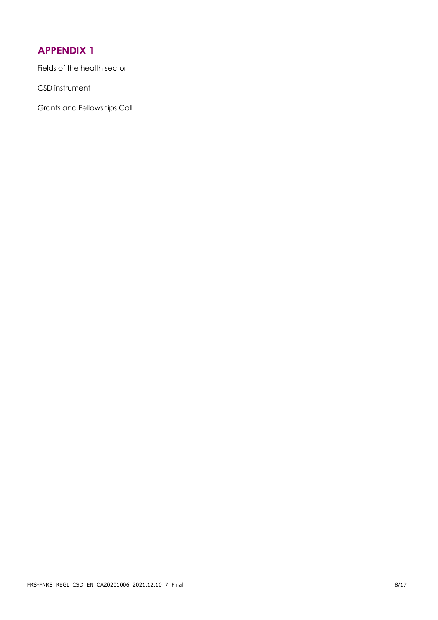<span id="page-7-0"></span>Fields of the health sector

CSD instrument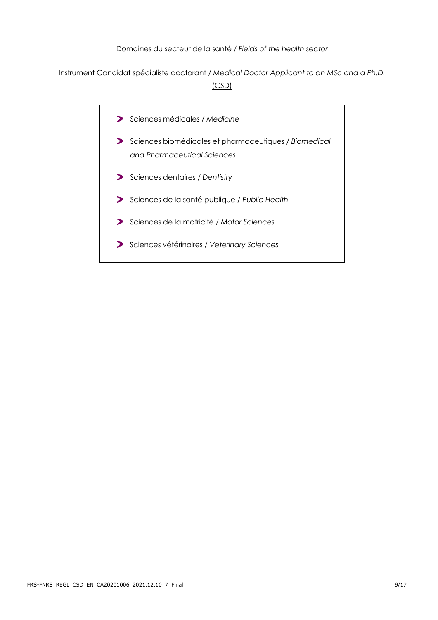#### Domaines du secteur de la santé / *Fields of the health sector*

# Instrument Candidat spécialiste doctorant / *Medical Doctor Applicant to an MSc and a Ph.D.* (CSD)

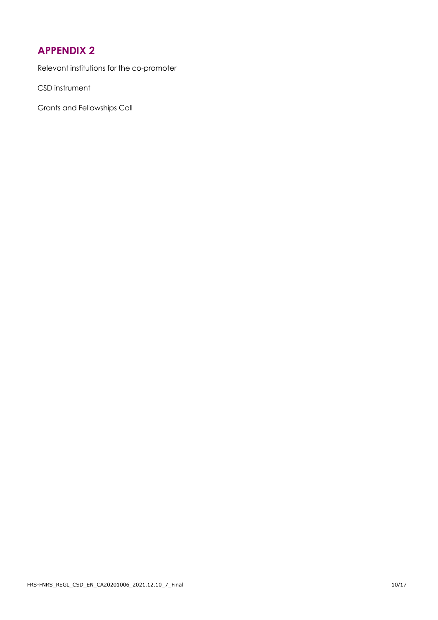<span id="page-9-0"></span>Relevant institutions for the co-promoter

CSD instrument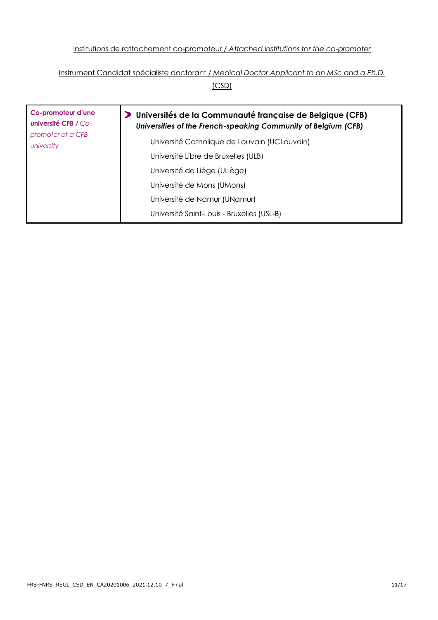# Institutions de rattachement co-promoteur / *Attached institutions for the co-promoter*

# Instrument Candidat spécialiste doctorant / *Medical Doctor Applicant to an MSc and a Ph.D.*

(CSD)

| Co-promoteur d'une<br>université CFB / Co-<br>promoter of a CFB<br>university | Universités de la Communauté française de Belgique (CFB)<br>Universities of the French-speaking Community of Belgium (CFB) |
|-------------------------------------------------------------------------------|----------------------------------------------------------------------------------------------------------------------------|
|                                                                               | Université Catholique de Louvain (UCLouvain)                                                                               |
|                                                                               | Université Libre de Bruxelles (ULB)                                                                                        |
|                                                                               | Université de Liège (ULiège)                                                                                               |
|                                                                               | Université de Mons (UMons)                                                                                                 |
|                                                                               | Université de Namur (UNamur)                                                                                               |
|                                                                               | Université Saint-Louis - Bruxelles (USL-B)                                                                                 |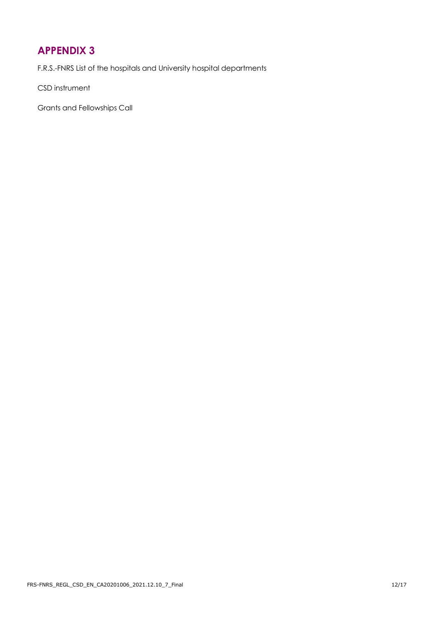<span id="page-11-0"></span>F.R.S.-FNRS List of the hospitals and University hospital departments

CSD instrument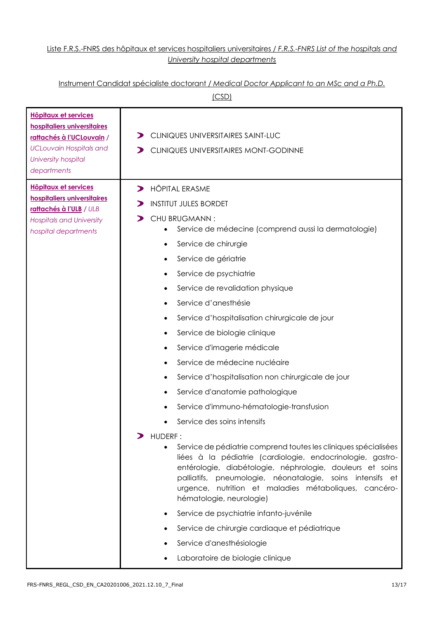# Liste F.R.S.-FNRS des hôpitaux et services hospitaliers universitaires / *F.R.S.-FNRS List of the hospitals and University hospital departments*

# Instrument Candidat spécialiste doctorant / *Medical Doctor Applicant to an MSc and a Ph.D.*

| (CSD)                                                                                                                                                                          |                                                                                                                                                                                                                                                                                                                                                                                                                                                                                                                                                                                                                                                                                                                                                                                                                                                                                                                                                                                                                                                                                                                                             |  |
|--------------------------------------------------------------------------------------------------------------------------------------------------------------------------------|---------------------------------------------------------------------------------------------------------------------------------------------------------------------------------------------------------------------------------------------------------------------------------------------------------------------------------------------------------------------------------------------------------------------------------------------------------------------------------------------------------------------------------------------------------------------------------------------------------------------------------------------------------------------------------------------------------------------------------------------------------------------------------------------------------------------------------------------------------------------------------------------------------------------------------------------------------------------------------------------------------------------------------------------------------------------------------------------------------------------------------------------|--|
| <b>Hôpitaux et services</b><br>hospitaliers universitaires<br>rattachés à l'UCLouvain /<br><b>UCLouvain Hospitals and</b><br>University hospital<br>departments                | CLINIQUES UNIVERSITAIRES SAINT-LUC<br>CLINIQUES UNIVERSITAIRES MONT-GODINNE                                                                                                                                                                                                                                                                                                                                                                                                                                                                                                                                                                                                                                                                                                                                                                                                                                                                                                                                                                                                                                                                 |  |
| <b>Hôpitaux et services</b><br>$\blacktriangleright$<br>hospitaliers universitaires<br>rattachés à l'ULB / ULB<br><b>Hospitals and University</b><br>hospital departments<br>⋗ | <b>HÔPITAL ERASME</b><br><b>INSTITUT JULES BORDET</b><br>CHU BRUGMANN:<br>Service de médecine (comprend aussi la dermatologie)<br>Service de chirurgie<br>Service de gériatrie<br>٠<br>Service de psychiatrie<br>٠<br>Service de revalidation physique<br>٠<br>Service d'anesthésie<br>Service d'hospitalisation chirurgicale de jour<br>Service de biologie clinique<br>٠<br>Service d'imagerie médicale<br>Service de médecine nucléaire<br>Service d'hospitalisation non chirurgicale de jour<br>٠<br>Service d'anatomie pathologique<br>Service d'immuno-hématologie-transfusion<br>Service des soins intensifs<br>HUDERF:<br>Service de pédiatrie comprend toutes les cliniques spécialisées<br>liées à la pédiatrie (cardiologie, endocrinologie, gastro-<br>entérologie, diabétologie, néphrologie, douleurs et soins<br>palliatifs, pneumologie, néonatalogie, soins intensifs et<br>urgence, nutrition et maladies métaboliques, cancéro-<br>hématologie, neurologie)<br>Service de psychiatrie infanto-juvénile<br>Service de chirurgie cardiaque et pédiatrique<br>Service d'anesthésiologie<br>Laboratoire de biologie clinique |  |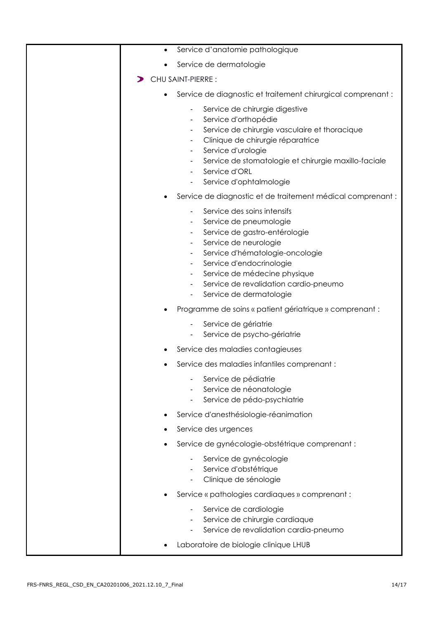| Service d'anatomie pathologique<br>$\bullet$                                                                                                                                                                                                                                            |
|-----------------------------------------------------------------------------------------------------------------------------------------------------------------------------------------------------------------------------------------------------------------------------------------|
| Service de dermatologie                                                                                                                                                                                                                                                                 |
| CHU SAINT-PIERRE :                                                                                                                                                                                                                                                                      |
| Service de diagnostic et traitement chirurgical comprenant :<br>$\bullet$                                                                                                                                                                                                               |
| Service de chirurgie digestive<br>Service d'orthopédie<br>Service de chirurgie vasculaire et thoracique<br>Clinique de chirurgie réparatrice<br>Service d'urologie<br>٠<br>Service de stomatologie et chirurgie maxillo-faciale<br>Service d'ORL<br>Service d'ophtalmologie             |
| Service de diagnostic et de traitement médical comprenant :                                                                                                                                                                                                                             |
| Service des soins intensifs<br>Service de pneumologie<br>Service de gastro-entérologie<br>Service de neurologie<br>۰<br>Service d'hématologie-oncologie<br>Service d'endocrinologie<br>Service de médecine physique<br>Service de revalidation cardio-pneumo<br>Service de dermatologie |
| Programme de soins « patient gériatrique » comprenant :                                                                                                                                                                                                                                 |
| Service de gériatrie<br>Service de psycho-gériatrie                                                                                                                                                                                                                                     |
| Service des maladies contagieuses                                                                                                                                                                                                                                                       |
| Service des maladies infantiles comprenant :                                                                                                                                                                                                                                            |
| Service de pédiatrie<br>Service de néonatologie<br>Service de pédo-psychiatrie                                                                                                                                                                                                          |
| Service d'anesthésiologie-réanimation                                                                                                                                                                                                                                                   |
| Service des urgences                                                                                                                                                                                                                                                                    |
| Service de gynécologie-obstétrique comprenant :                                                                                                                                                                                                                                         |
| Service de gynécologie<br>Service d'obstétrique<br>Clinique de sénologie                                                                                                                                                                                                                |
| Service « pathologies cardiaques » comprenant :                                                                                                                                                                                                                                         |
| Service de cardiologie<br>Service de chirurgie cardiaque<br>Service de revalidation cardia-pneumo<br>Laboratoire de biologie clinique LHUB                                                                                                                                              |
|                                                                                                                                                                                                                                                                                         |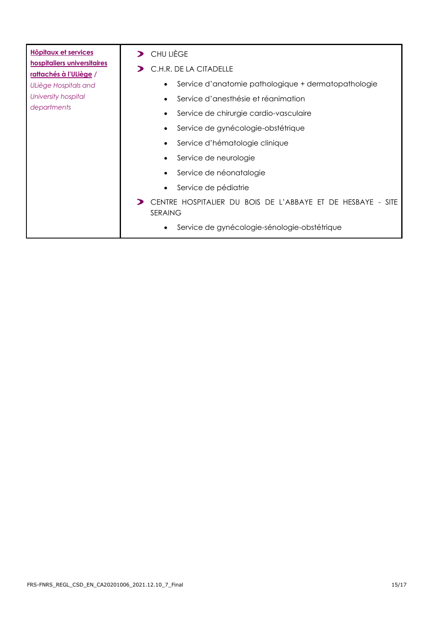| <b>Hôpitaux et services</b>                           | CHU LIÈGE                                                              |
|-------------------------------------------------------|------------------------------------------------------------------------|
| hospitaliers universitaires<br>rattachés à l'ULiège / | C.H.R. DE LA CITADELLE                                                 |
| ULiège Hospitals and                                  | Service d'anatomie pathologique + dermatopathologie<br>$\bullet$       |
| University hospital                                   | Service d'anesthésie et réanimation                                    |
| departments                                           | Service de chirurgie cardio-vasculaire<br>$\bullet$                    |
|                                                       | Service de gynécologie-obstétrique<br>$\bullet$                        |
|                                                       | Service d'hématologie clinique<br>$\bullet$                            |
|                                                       | Service de neurologie                                                  |
|                                                       | Service de néonatalogie                                                |
|                                                       | Service de pédiatrie                                                   |
|                                                       | CENTRE HOSPITALIER DU BOIS DE L'ABBAYE ET DE HESBAYE - SITE<br>SERAING |
|                                                       | Service de gynécologie-sénologie-obstétrique<br>$\bullet$              |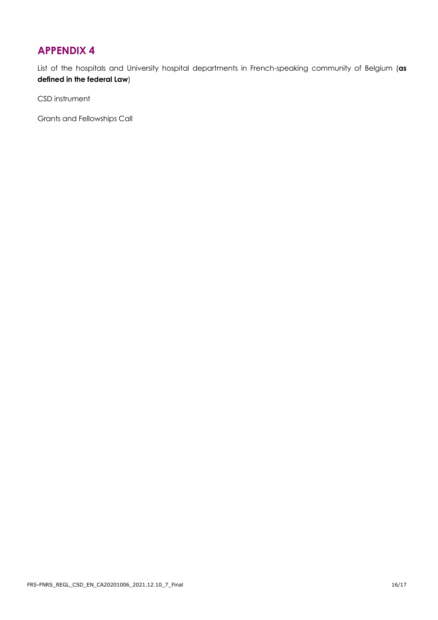<span id="page-15-0"></span>List of the hospitals and University hospital departments in French-speaking community of Belgium (**as defined in the federal Law**)

CSD instrument